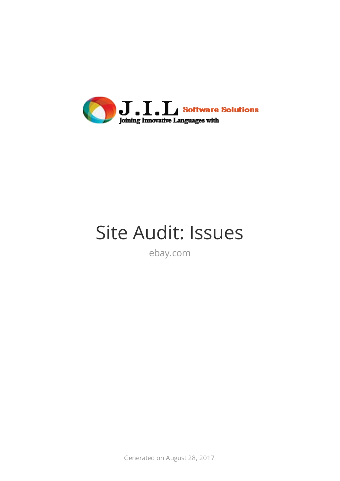

# Site Audit: Issues

ebay.com

Generated on August 28, 2017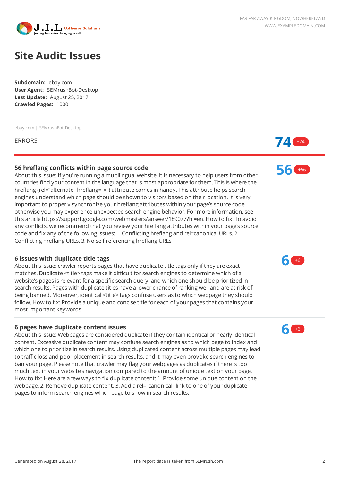

# **Site Audit: Issues**

**Subdomain:** ebay.com **User Agent:** SEMrushBot-Desktop **Last Update:** August 25, 2017 **Crawled Pages:** 1000

ebay.com | SEMrushBot-Desktop

# **56 hreflang conflicts within page source code**

About this issue: If you're running a multilingual website, it is necessary to help users from other countries find your content in the language that is most appropriate for them. This is where the hreflang (rel="alternate" hreflang="x") attribute comes in handy. This attribute helps search engines understand which page should be shown to visitors based on their location. It is very important to properly synchronize your hreflang attributes within your page's source code, otherwise you may experience unexpected search engine behavior. For more information, see this article https://support.google.com/webmasters/answer/189077?hl=en. How to fix: To avoid any conflicts, we recommend that you review your hreflang attributes within your page's source code and fix any of the following issues: 1. Conflicting hreflang and rel=canonical URLs. 2. Conflicting hreflang URLs. 3. No self-referencing hreflang URLs

#### **6 issues with duplicate title tags**

About this issue: crawler reports pages that have duplicate title tags only if they are exact matches. Duplicate <title> tags make it difficult for search engines to determine which of a website's pages is relevant for a specific search query, and which one should be prioritized in search results. Pages with duplicate titles have a lower chance of ranking well and are at risk of being banned. Moreover, identical <title> tags confuse users as to which webpage they should follow. How to fix: Provide a unique and concise title for each of your pages that contains your most important keywords.

#### **6 pages have duplicate content issues**

About this issue: Webpages are considered duplicate if they contain identical or nearly identical content. Excessive duplicate content may confuse search engines as to which page to index and which one to prioritize in search results. Using duplicated content across multiple pages may lead to traffic loss and poor placement in search results, and it may even provoke search engines to ban your page. Please note that crawler may flag your webpages as duplicates if there is too much text in your website's navigation compared to the amount of unique text on your page. How to fix: Here are a few ways to fix duplicate content: 1. Provide some unique content on the webpage. 2. Remove duplicate content. 3. Add a rel="canonical" link to one of your duplicate pages to inform search engines which page to show in search results.



**56** +56



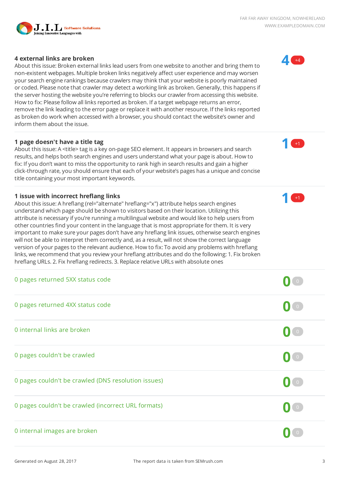

# **4 external links are broken**

About this issue: Broken external links lead users from one website to another and bring them to non-existent webpages. Multiple broken links negatively affect user experience and may worsen your search engine rankings because crawlers may think that your website is poorly maintained or coded. Please note that crawler may detect a working link as broken. Generally, this happens if the server hosting the website you're referring to blocks our crawler from accessing this website. How to fix: Please follow all links reported as broken. If a target webpage returns an error, remove the link leading to the error page or replace it with another resource. If the links reported as broken do work when accessed with a browser, you should contact the website's owner and inform them about the issue.

# **1 page doesn't have a title tag**

About this issue: A <title> tag is a key on-page SEO element. It appears in browsers and search results, and helps both search engines and users understand what your page is about. How to fix: If you don't want to miss the opportunity to rank high in search results and gain a higher click-through rate, you should ensure that each of your website's pages has a unique and concise title containing your most important keywords.

# **1 issue with incorrect hreflang links**

About this issue: A hreflang (rel="alternate" hreflang="x") attribute helps search engines understand which page should be shown to visitors based on their location. Utilizing this attribute is necessary if you're running a multilingual website and would like to help users from other countries find your content in the language that is most appropriate for them. It is very important to make sure your pages don't have any hreflang link issues, otherwise search engines will not be able to interpret them correctly and, as a result, will not show the correct language version of your pages to the relevant audience. How to fix: To avoid any problems with hreflang links, we recommend that you review your hreflang attributes and do the following: 1. Fix broken hreflang URLs. 2. Fix hreflang redirects. 3. Replace relative URLs with absolute ones

| 0 pages returned 5XX status code                    |                                           |
|-----------------------------------------------------|-------------------------------------------|
| 0 pages returned 4XX status code                    | $\begin{pmatrix} 0 \end{pmatrix}$         |
| 0 internal links are broken                         | $\mathbf{0}$ or                           |
| 0 pages couldn't be crawled                         | $\mathbf{0}$ $\mathbf{I}$ $\circ$         |
| 0 pages couldn't be crawled (DNS resolution issues) | $\begin{pmatrix} 0 & 1 & 0 \end{pmatrix}$ |
| 0 pages couldn't be crawled (incorrect URL formats) | $\blacksquare$                            |
| 0 internal images are broken                        |                                           |



**1** +1

**1** +1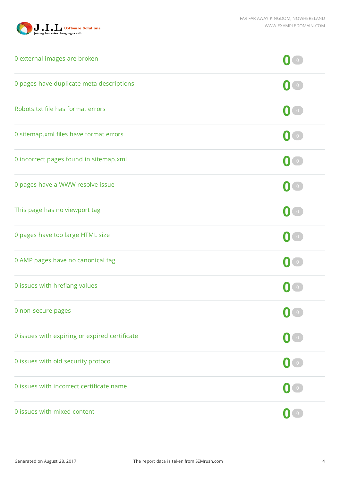

| 0 external images are broken                  |                                   |
|-----------------------------------------------|-----------------------------------|
| 0 pages have duplicate meta descriptions      |                                   |
| Robots.txt file has format errors             | $\bullet$                         |
| 0 sitemap.xml files have format errors        | $\bullet$                         |
| 0 incorrect pages found in sitemap.xml        | $\begin{pmatrix} 0 \end{pmatrix}$ |
| 0 pages have a WWW resolve issue              | $\begin{bmatrix} 0 \end{bmatrix}$ |
| This page has no viewport tag                 | $\bullet$                         |
| 0 pages have too large HTML size              | $\begin{bmatrix} 0 \end{bmatrix}$ |
| 0 AMP pages have no canonical tag             | $\begin{pmatrix} 0 \end{pmatrix}$ |
| 0 issues with hreflang values                 |                                   |
| 0 non-secure pages                            | $\mathbf{0}$ $\mathbf{I}$ of      |
| 0 issues with expiring or expired certificate | $\overline{0}$                    |
| 0 issues with old security protocol           | $\begin{pmatrix} 0 \end{pmatrix}$ |
| 0 issues with incorrect certificate name      | $\begin{bmatrix} 0 \end{bmatrix}$ |
| 0 issues with mixed content                   | $\overline{0}$                    |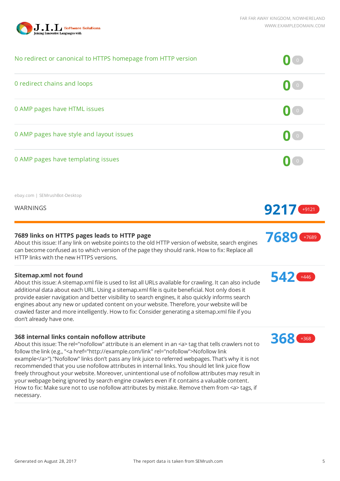

| No redirect or canonical to HTTPS homepage from HTTP version                                                                                                                                                                                                                                                                                                                                                                                                                                                                                                                                                                                                                                                                                                                                 |                                   |
|----------------------------------------------------------------------------------------------------------------------------------------------------------------------------------------------------------------------------------------------------------------------------------------------------------------------------------------------------------------------------------------------------------------------------------------------------------------------------------------------------------------------------------------------------------------------------------------------------------------------------------------------------------------------------------------------------------------------------------------------------------------------------------------------|-----------------------------------|
| 0 redirect chains and loops                                                                                                                                                                                                                                                                                                                                                                                                                                                                                                                                                                                                                                                                                                                                                                  | $\bullet$                         |
| 0 AMP pages have HTML issues                                                                                                                                                                                                                                                                                                                                                                                                                                                                                                                                                                                                                                                                                                                                                                 | $\begin{pmatrix} 0 \end{pmatrix}$ |
| 0 AMP pages have style and layout issues                                                                                                                                                                                                                                                                                                                                                                                                                                                                                                                                                                                                                                                                                                                                                     | $\langle 0 \rangle$               |
| 0 AMP pages have templating issues                                                                                                                                                                                                                                                                                                                                                                                                                                                                                                                                                                                                                                                                                                                                                           | $\begin{bmatrix} 0 \end{bmatrix}$ |
| ebay.com   SEMrushBot-Desktop                                                                                                                                                                                                                                                                                                                                                                                                                                                                                                                                                                                                                                                                                                                                                                |                                   |
| <b>WARNINGS</b>                                                                                                                                                                                                                                                                                                                                                                                                                                                                                                                                                                                                                                                                                                                                                                              | $9217$ +9121                      |
| 7689 links on HTTPS pages leads to HTTP page<br>About this issue: If any link on website points to the old HTTP version of website, search engines<br>can become confused as to which version of the page they should rank. How to fix: Replace all<br>HTTP links with the new HTTPS versions.                                                                                                                                                                                                                                                                                                                                                                                                                                                                                               | 7689 +7689                        |
| <b>Sitemap.xml not found</b><br>About this issue: A sitemap.xml file is used to list all URLs available for crawling. It can also include<br>additional data about each URL. Using a sitemap.xml file is quite beneficial. Not only does it<br>provide easier navigation and better visibility to search engines, it also quickly informs search<br>engines about any new or updated content on your website. Therefore, your website will be<br>crawled faster and more intelligently. How to fix: Consider generating a sitemap.xml file if you<br>don't already have one.                                                                                                                                                                                                                 | 542 +446                          |
| 368 internal links contain nofollow attribute<br>About this issue: The rel="nofollow" attribute is an element in an <a> tag that tells crawlers not to<br/>follow the link (e.g., "<a href="http://example.com/link" rel="nofollow">Nofollow link<br/>example</a>")."Nofollow" links don't pass any link juice to referred webpages. That's why it is not<br/>recommended that you use nofollow attributes in internal links. You should let link juice flow<br/>freely throughout your website. Moreover, unintentional use of nofollow attributes may result in<br/>your webpage being ignored by search engine crawlers even if it contains a valuable content.<br/>How to fix: Make sure not to use nofollow attributes by mistake. Remove them from <a> tags, if<br/>necessary.</a></a> | <b>368 +368</b>                   |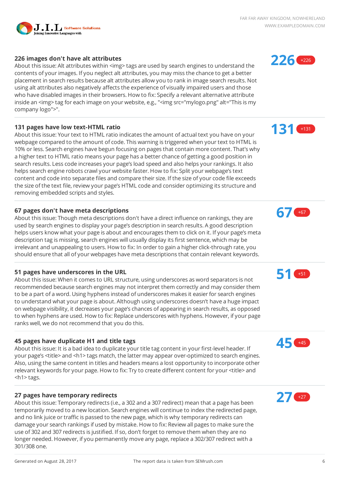

# **226 images don't have alt attributes**

About this issue: Alt attributes within <img> tags are used by search engines to understand the contents of your images. If you neglect alt attributes, you may miss the chance to get a better placement in search results because alt attributes allow you to rank in image search results. Not using alt attributes also negatively affects the experience of visually impaired users and those who have disabled images in their browsers. How to fix: Specify a relevant alternative attribute inside an <img> tag for each image on your website, e.g., "<img src="mylogo.png" alt="This is my company logo">".

# **131 pages have low text-HTML ratio**

About this issue: Your text to HTML ratio indicates the amount of actual text you have on your webpage compared to the amount of code. This warning is triggered when your text to HTML is 10% or less. Search engines have begun focusing on pages that contain more content. That's why a higher text to HTML ratio means your page has a better chance of getting a good position in search results. Less code increases your page's load speed and also helps your rankings. It also helps search engine robots crawl your website faster. How to fix: Split your webpage's text content and code into separate files and compare their size. If the size of your code file exceeds the size of the text file, review your page's HTML code and consider optimizing its structure and removing embedded scripts and styles.

# **67 pages don't have meta descriptions**

About this issue: Though meta descriptions don't have a direct influence on rankings, they are used by search engines to display your page's description in search results. A good description helps users know what your page is about and encourages them to click on it. If your page's meta description tag is missing, search engines will usually display its first sentence, which may be irrelevant and unappealing to users. How to fix: In order to gain a higher click-through rate, you should ensure that all of your webpages have meta descriptions that contain relevant keywords.

# **51 pages have underscores in the URL**

About this issue: When it comes to URL structure, using underscores as word separators is not recommended because search engines may not interpret them correctly and may consider them to be a part of a word. Using hyphens instead of underscores makes it easier for search engines to understand what your page is about. Although using underscores doesn't have a huge impact on webpage visibility, it decreases your page's chances of appearing in search results, as opposed to when hyphens are used. How to fix: Replace underscores with hyphens. However, if your page ranks well, we do not recommend that you do this.

# **45 pages have duplicate H1 and title tags**

About this issue: It is a bad idea to duplicate your title tag content in your first-level header. If your page's <title> and <h1> tags match, the latter may appear over-optimized to search engines. Also, using the same content in titles and headers means a lost opportunity to incorporate other relevant keywords for your page. How to fix: Try to create different content for your <title> and <h1> tags.

# **27 pages have temporary redirects**

About this issue: Temporary redirects (i.e., a 302 and a 307 redirect) mean that a page has been temporarily moved to a new location. Search engines will continue to index the redirected page, and no link juice or traffic is passed to the new page, which is why temporary redirects can damage your search rankings if used by mistake. How to fix: Review all pages to make sure the use of 302 and 307 redirects is justified. If so, don't forget to remove them when they are no longer needed. However, if you permanently move any page, replace a 302/307 redirect with a 301/308 one.











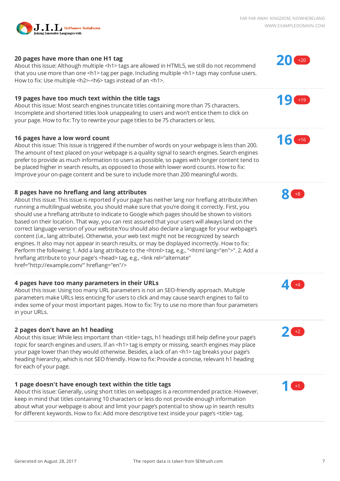

# **20 pages have more than one H1 tag**

About this issue: Although multiple <h1> tags are allowed in HTML5, we still do not recommend that you use more than one <h1> tag per page. Including multiple <h1> tags may confuse users. How to fix: Use multiple <h2>-<h6> tags instead of an <h1>.

#### **19 pages have too much text within the title tags**

About this issue: Most search engines truncate titles containing more than 75 characters. Incomplete and shortened titles look unappealing to users and won't entice them to click on your page. How to fix: Try to rewrite your page titles to be 75 characters or less.

#### **16 pages have a low word count**

About this issue: This issue is triggered if the number of words on your webpage is less than 200. The amount of text placed on your webpage is a quality signal to search engines. Search engines prefer to provide as much information to users as possible, so pages with longer content tend to be placed higher in search results, as opposed to those with lower word counts. How to fix: Improve your on-page content and be sure to include more than 200 meaningful words.

#### **8 pages have no hreflang and lang attributes**

About this issue: This issue is reported if your page has neither lang nor hreflang attribute.When running a multilingual website, you should make sure that you're doing it correctly. First, you should use a hreflang attribute to indicate to Google which pages should be shown to visitors based on their location. That way, you can rest assured that your users will always land on the correct language version of your website.You should also declare a language for your webpage's content (i.e., lang attribute). Otherwise, your web text might not be recognized by search engines. It also may not appear in search results, or may be displayed incorrectly. How to fix: Perform the following: 1. Add a lang attribute to the <html> tag, e.g., "<html lang="en">". 2. Add a hreflang attribute to your page's <head> tag, e.g., <link rel="alternate" href="http://example.com/" hreflang="en"/>

#### **4 pages have too many parameters in their URLs**

About this issue: Using too many URL parameters is not an SEO-friendly approach. Multiple parameters make URLs less enticing for users to click and may cause search engines to fail to index some of your most important pages. How to fix: Try to use no more than four parameters in your URLs.

#### **2 pages don't have an h1 heading**

About this issue: While less important than <title> tags, h1 headings still help define your page's topic for search engines and users. If an <h1> tag is empty or missing, search engines may place your page lower than they would otherwise. Besides, a lack of an <h1> tag breaks your page's heading hierarchy, which is not SEO friendly. How to fix: Provide a concise, relevant h1 heading for each of your page.

#### **1 page doesn't have enough text within the title tags**

About this issue: Generally, using short titles on webpages is a recommended practice. However, keep in mind that titles containing 10 characters or less do not provide enough information about what your webpage is about and limit your page's potential to show up in search results for different keywords. How to fix: Add more descriptive text inside your page's <title> tag.













**1** +1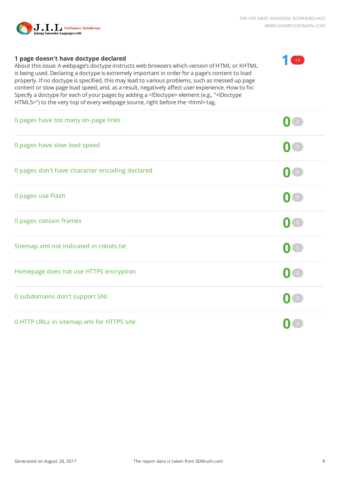

 $+1$ 

# **1 page doesn't have doctype declared**

About this issue: A webpage's doctype instructs web browsers which version of HTML or XHTML is being used. Declaring a doctype is extremely important in order for a page's content to load properly. If no doctype is specified, this may lead to various problems, such as messed up page content or slow page load speed, and, as a result, negatively affect user experience. How to fix: Specify a doctype for each of your pages by adding a <!Doctype> element (e.g., "<!Doctype HTML5>") to the very top of every webpage source, right before the <html> tag.

| 0 pages have too many on-page links            |                                   |
|------------------------------------------------|-----------------------------------|
| 0 pages have slow load speed                   | $\circ$                           |
| 0 pages don't have character encoding declared | $\begin{pmatrix} 0 \end{pmatrix}$ |
| 0 pages use Flash                              | $\bullet$                         |
| 0 pages contain frames                         | $\overline{0}$                    |
| Sitemap.xml not indicated in robots.txt        | $\overline{0}$                    |
| Homepage does not use HTTPS encryption         | $\overline{0}$                    |
| 0 subdomains don't support SNI                 | $\overline{O}$                    |
| 0 HTTP URLs in sitemap.xml for HTTPS site      |                                   |